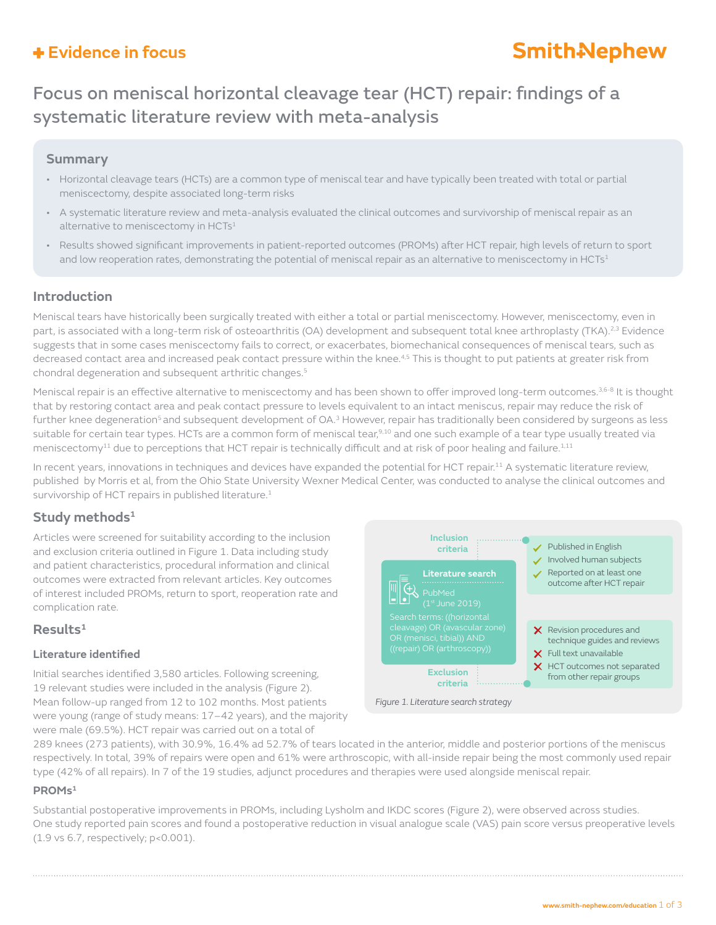### **Evidence in focus**

# **Smith-Nephew**

## Focus on meniscal horizontal cleavage tear (HCT) repair: findings of a systematic literature review with meta-analysis

### **Summary**

- Horizontal cleavage tears (HCTs) are a common type of meniscal tear and have typically been treated with total or partial meniscectomy, despite associated long-term risks
- A systematic literature review and meta-analysis evaluated the clinical outcomes and survivorship of meniscal repair as an alternative to meniscectomy in HCTs<sup>1</sup>
- Results showed significant improvements in patient-reported outcomes (PROMs) after HCT repair, high levels of return to sport and low reoperation rates, demonstrating the potential of meniscal repair as an alternative to meniscectomy in HCTs<sup>1</sup>

### **Introduction**

Meniscal tears have historically been surgically treated with either a total or partial meniscectomy. However, meniscectomy, even in part, is associated with a long-term risk of osteoarthritis (OA) development and subsequent total knee arthroplasty (TKA).<sup>2,3</sup> Evidence suggests that in some cases meniscectomy fails to correct, or exacerbates, biomechanical consequences of meniscal tears, such as decreased contact area and increased peak contact pressure within the knee.<sup>4,5</sup> This is thought to put patients at greater risk from chondral degeneration and subsequent arthritic changes.<sup>5</sup>

Meniscal repair is an effective alternative to meniscectomy and has been shown to offer improved long-term outcomes.<sup>3,6-8</sup> It is thought that by restoring contact area and peak contact pressure to levels equivalent to an intact meniscus, repair may reduce the risk of further knee degeneration<sup>5</sup> and subsequent development of OA.<sup>3</sup> However, repair has traditionally been considered by surgeons as less suitable for certain tear types. HCTs are a common form of meniscal tear,<sup>9,10</sup> and one such example of a tear type usually treated via meniscectomy<sup>11</sup> due to perceptions that HCT repair is technically difficult and at risk of poor healing and failure.<sup>1,11</sup>

In recent years, innovations in techniques and devices have expanded the potential for HCT repair.<sup>11</sup> A systematic literature review, published by Morris et al, from the Ohio State University Wexner Medical Center, was conducted to analyse the clinical outcomes and survivorship of HCT repairs in published literature.<sup>1</sup>

### **Study methods1**

Articles were screened for suitability according to the inclusion and exclusion criteria outlined in Figure 1. Data including study and patient characteristics, procedural information and clinical outcomes were extracted from relevant articles. Key outcomes of interest included PROMs, return to sport, reoperation rate and complication rate.

### **Results1**

### **Literature identified**

Initial searches identified 3,580 articles. Following screening, 19 relevant studies were included in the analysis (Figure 2). Mean follow-up ranged from 12 to 102 months. Most patients were young (range of study means: 17–42 years), and the majority were male (69.5%). HCT repair was carried out on a total of



289 knees (273 patients), with 30.9%, 16.4% ad 52.7% of tears located in the anterior, middle and posterior portions of the meniscus respectively. In total, 39% of repairs were open and 61% were arthroscopic, with all-inside repair being the most commonly used repair type (42% of all repairs). In 7 of the 19 studies, adjunct procedures and therapies were used alongside meniscal repair.

### **PROMs1**

Substantial postoperative improvements in PROMs, including Lysholm and IKDC scores (Figure 2), were observed across studies. One study reported pain scores and found a postoperative reduction in visual analogue scale (VAS) pain score versus preoperative levels (1.9 vs 6.7, respectively; p<0.001).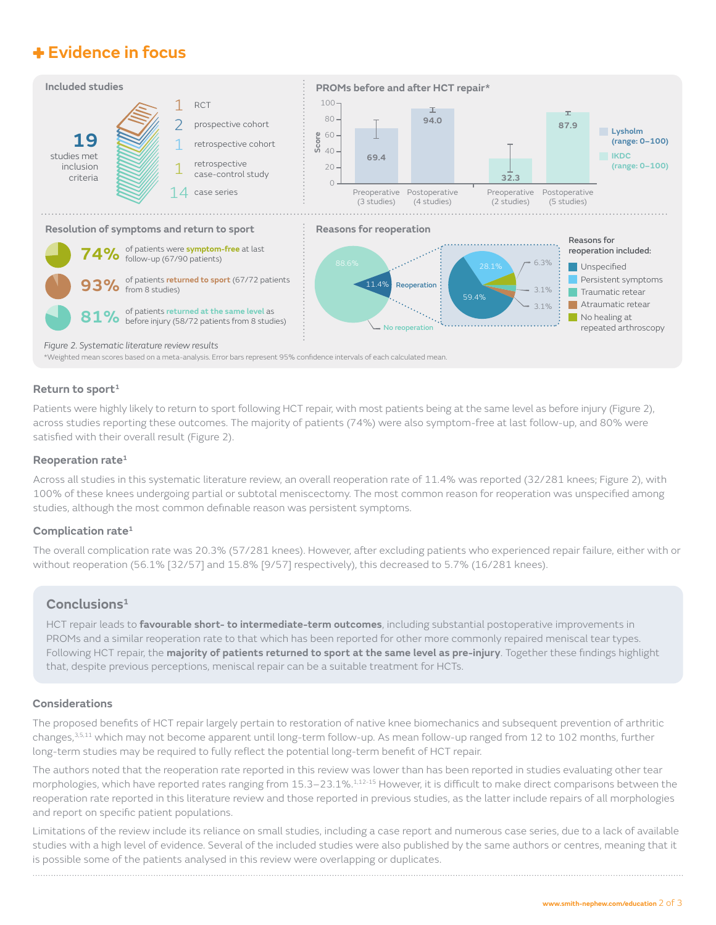### **Evidence in focus**



### **Return to sport1**

Patients were highly likely to return to sport following HCT repair, with most patients being at the same level as before injury (Figure 2), across studies reporting these outcomes. The majority of patients (74%) were also symptom-free at last follow-up, and 80% were satisfied with their overall result (Figure 2).

#### **Reoperation rate1**

Across all studies in this systematic literature review, an overall reoperation rate of 11.4% was reported (32/281 knees; Figure 2), with 100% of these knees undergoing partial or subtotal meniscectomy. The most common reason for reoperation was unspecified among studies, although the most common definable reason was persistent symptoms.

#### **Complication rate1**

The overall complication rate was 20.3% (57/281 knees). However, after excluding patients who experienced repair failure, either with or without reoperation (56.1% [32/57] and 15.8% [9/57] respectively), this decreased to 5.7% (16/281 knees).

### **Conclusions1**

HCT repair leads to **favourable short- to intermediate-term outcomes**, including substantial postoperative improvements in PROMs and a similar reoperation rate to that which has been reported for other more commonly repaired meniscal tear types. Following HCT repair, the **majority of patients returned to sport at the same level as pre-injury**. Together these findings highlight that, despite previous perceptions, meniscal repair can be a suitable treatment for HCTs.

#### **Considerations**

The proposed benefits of HCT repair largely pertain to restoration of native knee biomechanics and subsequent prevention of arthritic changes,3,5,11 which may not become apparent until long-term follow-up. As mean follow-up ranged from 12 to 102 months, further long-term studies may be required to fully reflect the potential long-term benefit of HCT repair.

The authors noted that the reoperation rate reported in this review was lower than has been reported in studies evaluating other tear morphologies, which have reported rates ranging from 15.3–23.1%.<sup>1,12-15</sup> However, it is difficult to make direct comparisons between the reoperation rate reported in this literature review and those reported in previous studies, as the latter include repairs of all morphologies and report on specific patient populations.

Limitations of the review include its reliance on small studies, including a case report and numerous case series, due to a lack of available studies with a high level of evidence. Several of the included studies were also published by the same authors or centres, meaning that it is possible some of the patients analysed in this review were overlapping or duplicates.